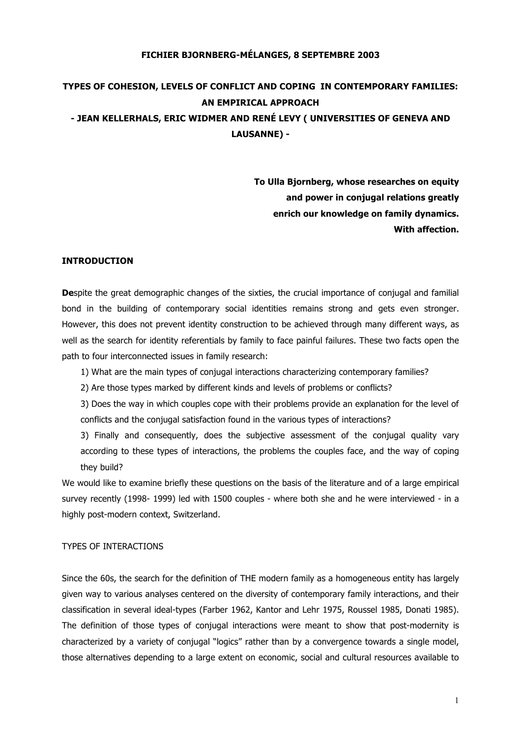## **FICHIER BJORNBERG-MÉLANGES, 8 SEPTEMBRE 2003**

# **TYPES OF COHESION, LEVELS OF CONFLICT AND COPING IN CONTEMPORARY FAMILIES: AN EMPIRICAL APPROACH - JEAN KELLERHALS, ERIC WIDMER AND RENÉ LEVY ( UNIVERSITIES OF GENEVA AND LAUSANNE) -**

**To Ulla Bjornberg, whose researches on equity and power in conjugal relations greatly enrich our knowledge on family dynamics. With affection.**

## **INTRODUCTION**

**De**spite the great demographic changes of the sixties, the crucial importance of conjugal and familial bond in the building of contemporary social identities remains strong and gets even stronger. However, this does not prevent identity construction to be achieved through many different ways, as well as the search for identity referentials by family to face painful failures. These two facts open the path to four interconnected issues in family research:

- 1) What are the main types of conjugal interactions characterizing contemporary families?
- 2) Are those types marked by different kinds and levels of problems or conflicts?

3) Does the way in which couples cope with their problems provide an explanation for the level of conflicts and the conjugal satisfaction found in the various types of interactions?

3) Finally and consequently, does the subjective assessment of the conjugal quality vary according to these types of interactions, the problems the couples face, and the way of coping they build?

We would like to examine briefly these questions on the basis of the literature and of a large empirical survey recently (1998- 1999) led with 1500 couples - where both she and he were interviewed - in a highly post-modern context, Switzerland.

## TYPES OF INTERACTIONS

Since the 60s, the search for the definition of THE modern family as a homogeneous entity has largely given way to various analyses centered on the diversity of contemporary family interactions, and their classification in several ideal-types (Farber 1962, Kantor and Lehr 1975, Roussel 1985, Donati 1985). The definition of those types of conjugal interactions were meant to show that post-modernity is characterized by a variety of conjugal "logics" rather than by a convergence towards a single model, those alternatives depending to a large extent on economic, social and cultural resources available to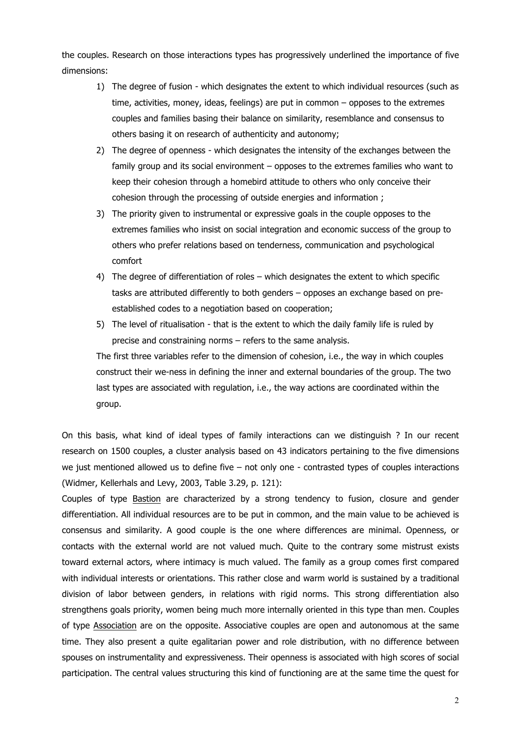the couples. Research on those interactions types has progressively underlined the importance of five dimensions:

- 1) The degree of fusion which designates the extent to which individual resources (such as time, activities, money, ideas, feelings) are put in common – opposes to the extremes couples and families basing their balance on similarity, resemblance and consensus to others basing it on research of authenticity and autonomy;
- 2) The degree of openness which designates the intensity of the exchanges between the family group and its social environment – opposes to the extremes families who want to keep their cohesion through a homebird attitude to others who only conceive their cohesion through the processing of outside energies and information ;
- 3) The priority given to instrumental or expressive goals in the couple opposes to the extremes families who insist on social integration and economic success of the group to others who prefer relations based on tenderness, communication and psychological comfort
- 4) The degree of differentiation of roles which designates the extent to which specific tasks are attributed differently to both genders – opposes an exchange based on preestablished codes to a negotiation based on cooperation;
- 5) The level of ritualisation that is the extent to which the daily family life is ruled by precise and constraining norms – refers to the same analysis.

The first three variables refer to the dimension of cohesion, i.e., the way in which couples construct their we-ness in defining the inner and external boundaries of the group. The two last types are associated with regulation, i.e., the way actions are coordinated within the group.

On this basis, what kind of ideal types of family interactions can we distinguish ? In our recent research on 1500 couples, a cluster analysis based on 43 indicators pertaining to the five dimensions we just mentioned allowed us to define five – not only one - contrasted types of couples interactions (Widmer, Kellerhals and Levy, 2003, Table 3.29, p. 121):

Couples of type Bastion are characterized by a strong tendency to fusion, closure and gender differentiation. All individual resources are to be put in common, and the main value to be achieved is consensus and similarity. A good couple is the one where differences are minimal. Openness, or contacts with the external world are not valued much. Quite to the contrary some mistrust exists toward external actors, where intimacy is much valued. The family as a group comes first compared with individual interests or orientations. This rather close and warm world is sustained by a traditional division of labor between genders, in relations with rigid norms. This strong differentiation also strengthens goals priority, women being much more internally oriented in this type than men. Couples of type Association are on the opposite. Associative couples are open and autonomous at the same time. They also present a quite egalitarian power and role distribution, with no difference between spouses on instrumentality and expressiveness. Their openness is associated with high scores of social participation. The central values structuring this kind of functioning are at the same time the quest for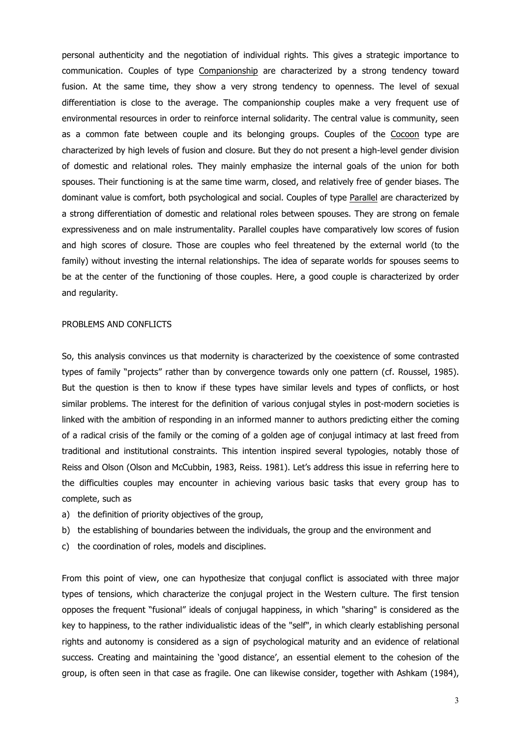personal authenticity and the negotiation of individual rights. This gives a strategic importance to communication. Couples of type Companionship are characterized by a strong tendency toward fusion. At the same time, they show a very strong tendency to openness. The level of sexual differentiation is close to the average. The companionship couples make a very frequent use of environmental resources in order to reinforce internal solidarity. The central value is community, seen as a common fate between couple and its belonging groups. Couples of the Cocoon type are characterized by high levels of fusion and closure. But they do not present a high-level gender division of domestic and relational roles. They mainly emphasize the internal goals of the union for both spouses. Their functioning is at the same time warm, closed, and relatively free of gender biases. The dominant value is comfort, both psychological and social. Couples of type Parallel are characterized by a strong differentiation of domestic and relational roles between spouses. They are strong on female expressiveness and on male instrumentality. Parallel couples have comparatively low scores of fusion and high scores of closure. Those are couples who feel threatened by the external world (to the family) without investing the internal relationships. The idea of separate worlds for spouses seems to be at the center of the functioning of those couples. Here, a good couple is characterized by order and regularity.

#### PROBLEMS AND CONFLICTS

So, this analysis convinces us that modernity is characterized by the coexistence of some contrasted types of family "projects" rather than by convergence towards only one pattern (cf. Roussel, 1985). But the question is then to know if these types have similar levels and types of conflicts, or host similar problems. The interest for the definition of various conjugal styles in post-modern societies is linked with the ambition of responding in an informed manner to authors predicting either the coming of a radical crisis of the family or the coming of a golden age of conjugal intimacy at last freed from traditional and institutional constraints. This intention inspired several typologies, notably those of Reiss and Olson (Olson and McCubbin, 1983, Reiss. 1981). Let's address this issue in referring here to the difficulties couples may encounter in achieving various basic tasks that every group has to complete, such as

- a) the definition of priority objectives of the group,
- b) the establishing of boundaries between the individuals, the group and the environment and
- c) the coordination of roles, models and disciplines.

From this point of view, one can hypothesize that conjugal conflict is associated with three major types of tensions, which characterize the conjugal project in the Western culture. The first tension opposes the frequent "fusional" ideals of conjugal happiness, in which "sharing" is considered as the key to happiness, to the rather individualistic ideas of the "self", in which clearly establishing personal rights and autonomy is considered as a sign of psychological maturity and an evidence of relational success. Creating and maintaining the 'good distance', an essential element to the cohesion of the group, is often seen in that case as fragile. One can likewise consider, together with Ashkam (1984),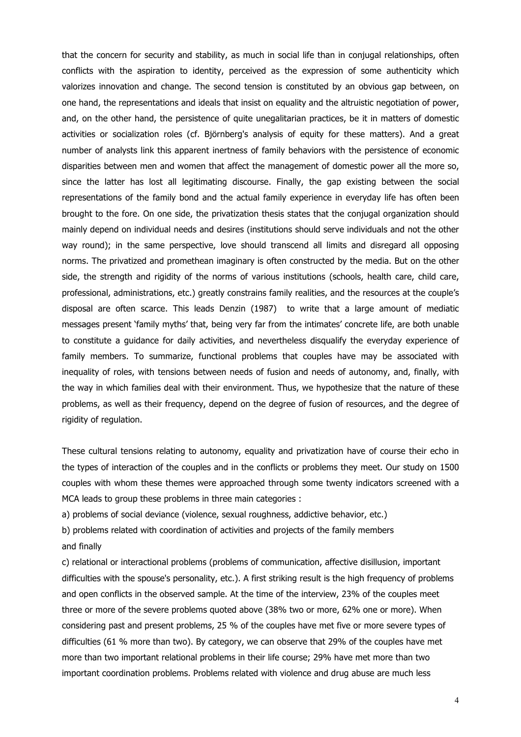that the concern for security and stability, as much in social life than in conjugal relationships, often conflicts with the aspiration to identity, perceived as the expression of some authenticity which valorizes innovation and change. The second tension is constituted by an obvious gap between, on one hand, the representations and ideals that insist on equality and the altruistic negotiation of power, and, on the other hand, the persistence of quite unegalitarian practices, be it in matters of domestic activities or socialization roles (cf. Björnberg's analysis of equity for these matters). And a great number of analysts link this apparent inertness of family behaviors with the persistence of economic disparities between men and women that affect the management of domestic power all the more so, since the latter has lost all legitimating discourse. Finally, the gap existing between the social representations of the family bond and the actual family experience in everyday life has often been brought to the fore. On one side, the privatization thesis states that the conjugal organization should mainly depend on individual needs and desires (institutions should serve individuals and not the other way round); in the same perspective, love should transcend all limits and disregard all opposing norms. The privatized and promethean imaginary is often constructed by the media. But on the other side, the strength and rigidity of the norms of various institutions (schools, health care, child care, professional, administrations, etc.) greatly constrains family realities, and the resources at the couple's disposal are often scarce. This leads Denzin (1987) to write that a large amount of mediatic messages present 'family myths' that, being very far from the intimates' concrete life, are both unable to constitute a guidance for daily activities, and nevertheless disqualify the everyday experience of family members. To summarize, functional problems that couples have may be associated with inequality of roles, with tensions between needs of fusion and needs of autonomy, and, finally, with the way in which families deal with their environment. Thus, we hypothesize that the nature of these problems, as well as their frequency, depend on the degree of fusion of resources, and the degree of rigidity of regulation.

These cultural tensions relating to autonomy, equality and privatization have of course their echo in the types of interaction of the couples and in the conflicts or problems they meet. Our study on 1500 couples with whom these themes were approached through some twenty indicators screened with a MCA leads to group these problems in three main categories :

a) problems of social deviance (violence, sexual roughness, addictive behavior, etc.)

b) problems related with coordination of activities and projects of the family members and finally

c) relational or interactional problems (problems of communication, affective disillusion, important difficulties with the spouse's personality, etc.). A first striking result is the high frequency of problems and open conflicts in the observed sample. At the time of the interview, 23% of the couples meet three or more of the severe problems quoted above (38% two or more, 62% one or more). When considering past and present problems, 25 % of the couples have met five or more severe types of difficulties (61 % more than two). By category, we can observe that 29% of the couples have met more than two important relational problems in their life course; 29% have met more than two important coordination problems. Problems related with violence and drug abuse are much less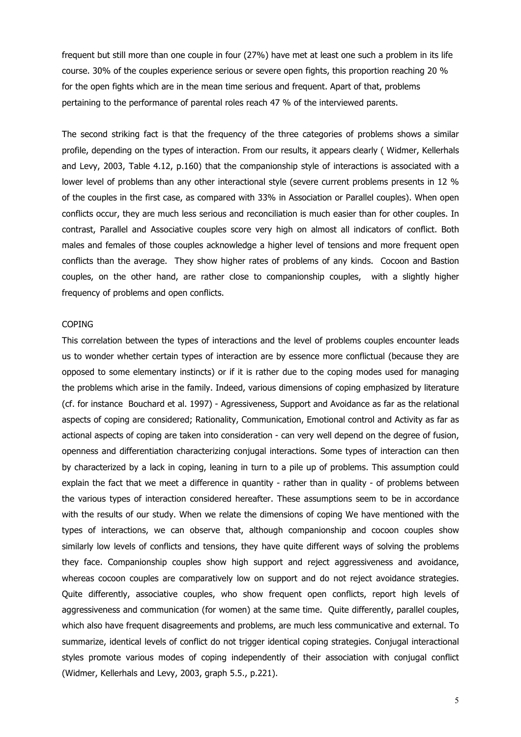frequent but still more than one couple in four (27%) have met at least one such a problem in its life course. 30% of the couples experience serious or severe open fights, this proportion reaching 20 % for the open fights which are in the mean time serious and frequent. Apart of that, problems pertaining to the performance of parental roles reach 47 % of the interviewed parents.

The second striking fact is that the frequency of the three categories of problems shows a similar profile, depending on the types of interaction. From our results, it appears clearly ( Widmer, Kellerhals and Levy, 2003, Table 4.12, p.160) that the companionship style of interactions is associated with a lower level of problems than any other interactional style (severe current problems presents in 12 % of the couples in the first case, as compared with 33% in Association or Parallel couples). When open conflicts occur, they are much less serious and reconciliation is much easier than for other couples. In contrast, Parallel and Associative couples score very high on almost all indicators of conflict. Both males and females of those couples acknowledge a higher level of tensions and more frequent open conflicts than the average. They show higher rates of problems of any kinds. Cocoon and Bastion couples, on the other hand, are rather close to companionship couples, with a slightly higher frequency of problems and open conflicts.

#### **COPING**

This correlation between the types of interactions and the level of problems couples encounter leads us to wonder whether certain types of interaction are by essence more conflictual (because they are opposed to some elementary instincts) or if it is rather due to the coping modes used for managing the problems which arise in the family. Indeed, various dimensions of coping emphasized by literature (cf. for instance Bouchard et al. 1997) - Agressiveness, Support and Avoidance as far as the relational aspects of coping are considered; Rationality, Communication, Emotional control and Activity as far as actional aspects of coping are taken into consideration - can very well depend on the degree of fusion, openness and differentiation characterizing conjugal interactions. Some types of interaction can then by characterized by a lack in coping, leaning in turn to a pile up of problems. This assumption could explain the fact that we meet a difference in quantity - rather than in quality - of problems between the various types of interaction considered hereafter. These assumptions seem to be in accordance with the results of our study. When we relate the dimensions of coping We have mentioned with the types of interactions, we can observe that, although companionship and cocoon couples show similarly low levels of conflicts and tensions, they have quite different ways of solving the problems they face. Companionship couples show high support and reject aggressiveness and avoidance, whereas cocoon couples are comparatively low on support and do not reject avoidance strategies. Quite differently, associative couples, who show frequent open conflicts, report high levels of aggressiveness and communication (for women) at the same time. Quite differently, parallel couples, which also have frequent disagreements and problems, are much less communicative and external. To summarize, identical levels of conflict do not trigger identical coping strategies. Conjugal interactional styles promote various modes of coping independently of their association with conjugal conflict (Widmer, Kellerhals and Levy, 2003, graph 5.5., p.221).

5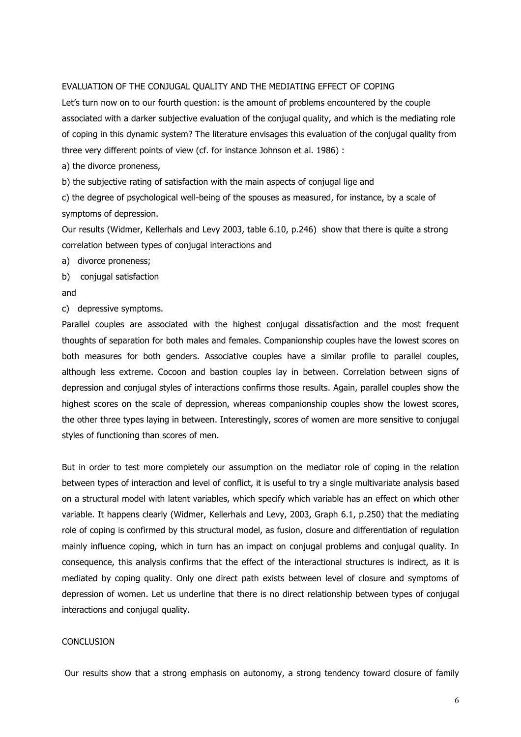### EVALUATION OF THE CONJUGAL QUALITY AND THE MEDIATING EFFECT OF COPING

Let's turn now on to our fourth question: is the amount of problems encountered by the couple associated with a darker subjective evaluation of the conjugal quality, and which is the mediating role of coping in this dynamic system? The literature envisages this evaluation of the conjugal quality from three very different points of view (cf. for instance Johnson et al. 1986) :

a) the divorce proneness,

b) the subjective rating of satisfaction with the main aspects of conjugal lige and

c) the degree of psychological well-being of the spouses as measured, for instance, by a scale of symptoms of depression.

Our results (Widmer, Kellerhals and Levy 2003, table 6.10, p.246) show that there is quite a strong correlation between types of conjugal interactions and

- a) divorce proneness;
- b) conjugal satisfaction
- and
- c) depressive symptoms.

Parallel couples are associated with the highest conjugal dissatisfaction and the most frequent thoughts of separation for both males and females. Companionship couples have the lowest scores on both measures for both genders. Associative couples have a similar profile to parallel couples, although less extreme. Cocoon and bastion couples lay in between. Correlation between signs of depression and conjugal styles of interactions confirms those results. Again, parallel couples show the highest scores on the scale of depression, whereas companionship couples show the lowest scores, the other three types laying in between. Interestingly, scores of women are more sensitive to conjugal styles of functioning than scores of men.

But in order to test more completely our assumption on the mediator role of coping in the relation between types of interaction and level of conflict, it is useful to try a single multivariate analysis based on a structural model with latent variables, which specify which variable has an effect on which other variable. It happens clearly (Widmer, Kellerhals and Levy, 2003, Graph 6.1, p.250) that the mediating role of coping is confirmed by this structural model, as fusion, closure and differentiation of regulation mainly influence coping, which in turn has an impact on conjugal problems and conjugal quality. In consequence, this analysis confirms that the effect of the interactional structures is indirect, as it is mediated by coping quality. Only one direct path exists between level of closure and symptoms of depression of women. Let us underline that there is no direct relationship between types of conjugal interactions and conjugal quality.

### **CONCLUSION**

Our results show that a strong emphasis on autonomy, a strong tendency toward closure of family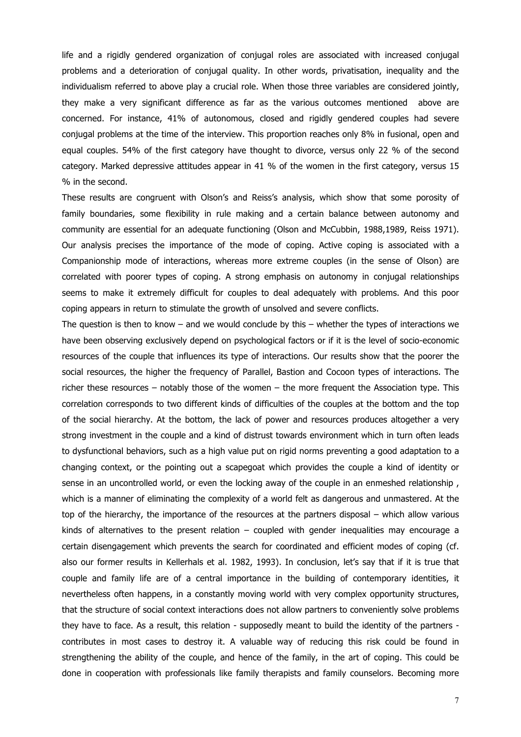life and a rigidly gendered organization of conjugal roles are associated with increased conjugal problems and a deterioration of conjugal quality. In other words, privatisation, inequality and the individualism referred to above play a crucial role. When those three variables are considered jointly, they make a very significant difference as far as the various outcomes mentioned above are concerned. For instance, 41% of autonomous, closed and rigidly gendered couples had severe conjugal problems at the time of the interview. This proportion reaches only 8% in fusional, open and equal couples. 54% of the first category have thought to divorce, versus only 22 % of the second category. Marked depressive attitudes appear in 41 % of the women in the first category, versus 15 % in the second.

These results are congruent with Olson's and Reiss's analysis, which show that some porosity of family boundaries, some flexibility in rule making and a certain balance between autonomy and community are essential for an adequate functioning (Olson and McCubbin, 1988,1989, Reiss 1971). Our analysis precises the importance of the mode of coping. Active coping is associated with a Companionship mode of interactions, whereas more extreme couples (in the sense of Olson) are correlated with poorer types of coping. A strong emphasis on autonomy in conjugal relationships seems to make it extremely difficult for couples to deal adequately with problems. And this poor coping appears in return to stimulate the growth of unsolved and severe conflicts.

The question is then to know – and we would conclude by this – whether the types of interactions we have been observing exclusively depend on psychological factors or if it is the level of socio-economic resources of the couple that influences its type of interactions. Our results show that the poorer the social resources, the higher the frequency of Parallel, Bastion and Cocoon types of interactions. The richer these resources – notably those of the women – the more frequent the Association type. This correlation corresponds to two different kinds of difficulties of the couples at the bottom and the top of the social hierarchy. At the bottom, the lack of power and resources produces altogether a very strong investment in the couple and a kind of distrust towards environment which in turn often leads to dysfunctional behaviors, such as a high value put on rigid norms preventing a good adaptation to a changing context, or the pointing out a scapegoat which provides the couple a kind of identity or sense in an uncontrolled world, or even the locking away of the couple in an enmeshed relationship, which is a manner of eliminating the complexity of a world felt as dangerous and unmastered. At the top of the hierarchy, the importance of the resources at the partners disposal – which allow various kinds of alternatives to the present relation  $-$  coupled with gender inequalities may encourage a certain disengagement which prevents the search for coordinated and efficient modes of coping (cf. also our former results in Kellerhals et al. 1982, 1993). In conclusion, let's say that if it is true that couple and family life are of a central importance in the building of contemporary identities, it nevertheless often happens, in a constantly moving world with very complex opportunity structures, that the structure of social context interactions does not allow partners to conveniently solve problems they have to face. As a result, this relation - supposedly meant to build the identity of the partners contributes in most cases to destroy it. A valuable way of reducing this risk could be found in strengthening the ability of the couple, and hence of the family, in the art of coping. This could be done in cooperation with professionals like family therapists and family counselors. Becoming more

7